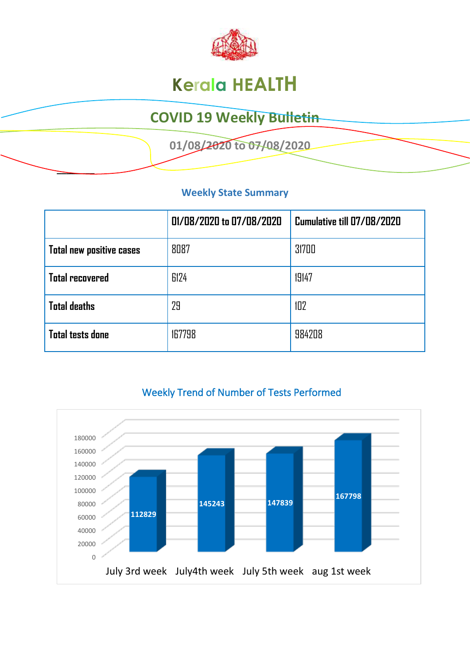

# **Kerala HEALTH**

### **COVID 19 Weekly Bulletin**

 **01/08/2020 to 07/08/2020** 

#### **Weekly State Summary**

**\_\_\_\_\_\_\_\_** 

|                                 | 01/08/2020 to 07/08/2020 | Cumulative till 07/08/2020 |  |
|---------------------------------|--------------------------|----------------------------|--|
| <b>Total new positive cases</b> | 8087                     | 31700                      |  |
| <b>Total recovered</b>          | 6124                     | 19147                      |  |
| <b>Total deaths</b>             | 29                       | 102                        |  |
| <b>Total tests done</b>         | 167798                   | 984208                     |  |



### Weekly Trend of Number of Tests Performed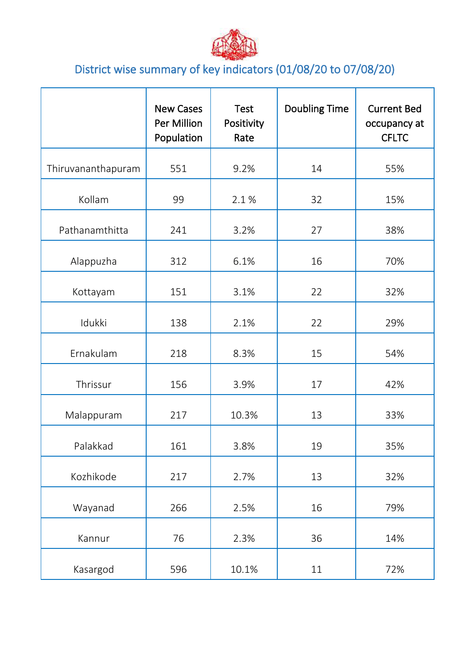

## District wise summary of key indicators (01/08/20 to 07/08/20)

|                    | <b>New Cases</b><br>Per Million<br>Population | <b>Test</b><br>Positivity<br>Rate | <b>Doubling Time</b> | <b>Current Bed</b><br>occupancy at<br><b>CFLTC</b> |
|--------------------|-----------------------------------------------|-----------------------------------|----------------------|----------------------------------------------------|
| Thiruvananthapuram | 551                                           | 9.2%                              | 14                   | 55%                                                |
| Kollam             | 99                                            | 2.1%                              | 32                   | 15%                                                |
| Pathanamthitta     | 241                                           | 3.2%                              | 27                   | 38%                                                |
| Alappuzha          | 312                                           | 6.1%                              | 16                   | 70%                                                |
| Kottayam           | 151                                           | 3.1%                              | 22                   | 32%                                                |
| Idukki             | 138                                           | 2.1%                              | 22                   | 29%                                                |
| Ernakulam          | 218                                           | 8.3%                              | 15                   | 54%                                                |
| Thrissur           | 156                                           | 3.9%                              | 17                   | 42%                                                |
| Malappuram         | 217                                           | 10.3%                             | 13                   | 33%                                                |
| Palakkad           | 161                                           | 3.8%                              | 19                   | 35%                                                |
| Kozhikode          | 217                                           | 2.7%                              | 13                   | 32%                                                |
| Wayanad            | 266                                           | 2.5%                              | 16                   | 79%                                                |
| Kannur             | 76                                            | 2.3%                              | 36                   | 14%                                                |
| Kasargod           | 596                                           | 10.1%                             | 11                   | 72%                                                |